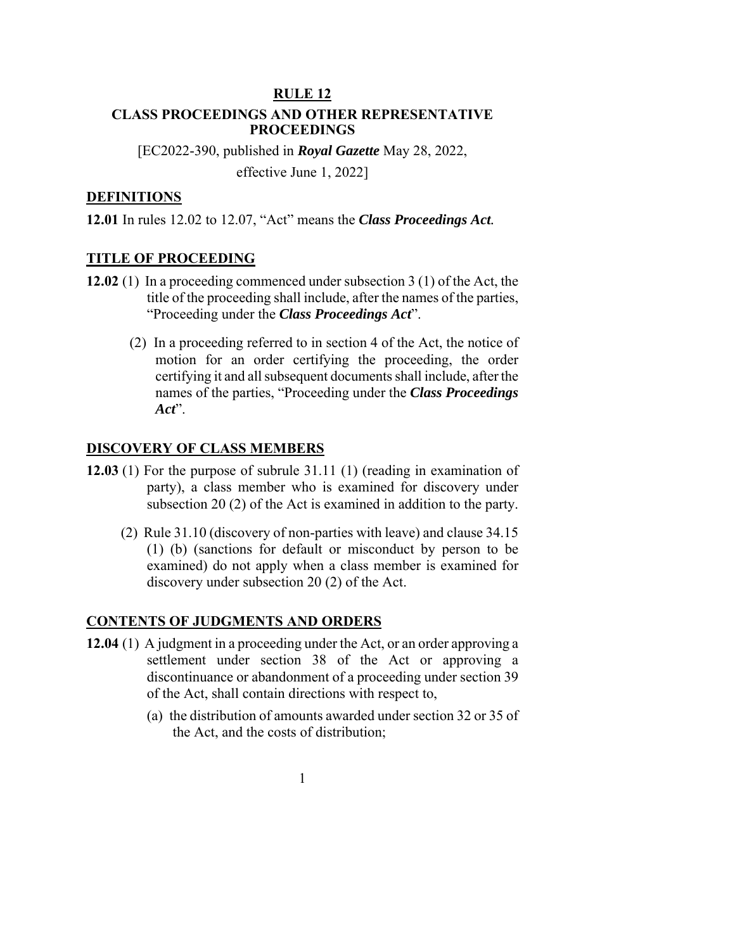### **RULE 12**

## **CLASS PROCEEDINGS AND OTHER REPRESENTATIVE PROCEEDINGS**

[EC2022-390, published in *Royal Gazette* May 28, 2022, effective June 1, 2022]

### **DEFINITIONS**

**12.01** In rules 12.02 to 12.07, "Act" means the *Class Proceedings Act.*

#### **TITLE OF PROCEEDING**

- **12.02** (1) In a proceeding commenced under subsection 3 (1) of the Act, the title of the proceeding shall include, after the names of the parties, "Proceeding under the *Class Proceedings Act*".
	- (2) In a proceeding referred to in section 4 of the Act, the notice of motion for an order certifying the proceeding, the order certifying it and all subsequent documents shall include, after the names of the parties, "Proceeding under the *Class Proceedings Act*".

## **DISCOVERY OF CLASS MEMBERS**

- **12.03** (1) For the purpose of subrule 31.11 (1) (reading in examination of party), a class member who is examined for discovery under subsection 20 (2) of the Act is examined in addition to the party.
	- (2) Rule 31.10 (discovery of non-parties with leave) and clause 34.15 (1) (b) (sanctions for default or misconduct by person to be examined) do not apply when a class member is examined for discovery under subsection 20 (2) of the Act.

### **CONTENTS OF JUDGMENTS AND ORDERS**

- **12.04** (1) A judgment in a proceeding under the Act, or an order approving a settlement under section 38 of the Act or approving a discontinuance or abandonment of a proceeding under section 39 of the Act, shall contain directions with respect to,
	- (a) the distribution of amounts awarded under section 32 or 35 of the Act, and the costs of distribution;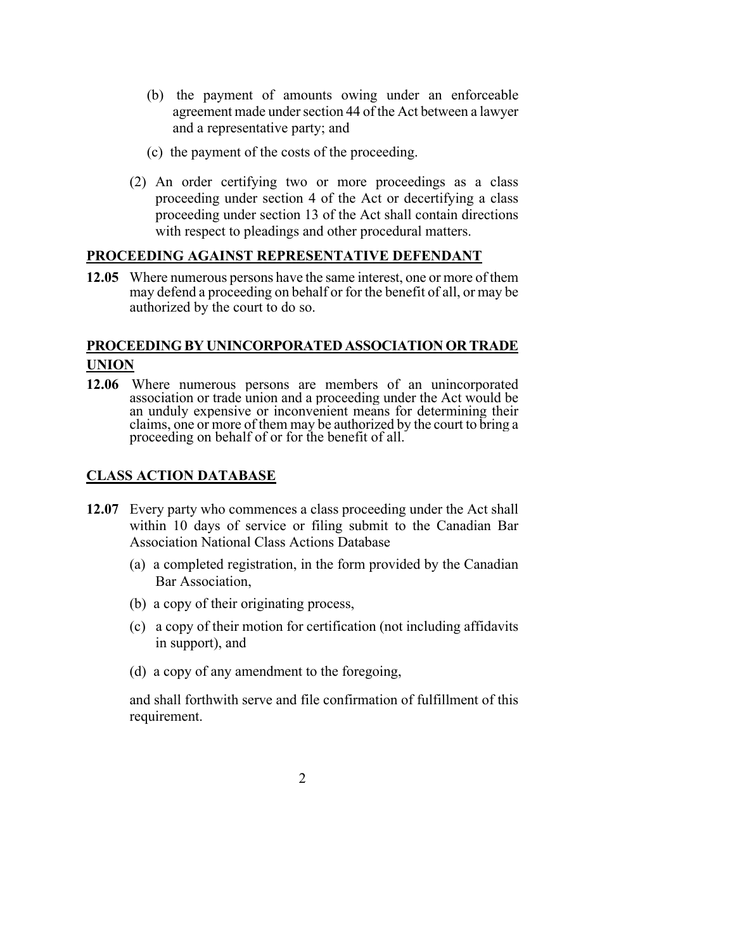- (b) the payment of amounts owing under an enforceable agreement made under section 44 of the Act between a lawyer and a representative party; and
- (c) the payment of the costs of the proceeding.
- (2) An order certifying two or more proceedings as a class proceeding under section 4 of the Act or decertifying a class proceeding under section 13 of the Act shall contain directions with respect to pleadings and other procedural matters.

## **PROCEEDING AGAINST REPRESENTATIVE DEFENDANT**

**12.05** Where numerous persons have the same interest, one or more of them may defend a proceeding on behalf or for the benefit of all, or may be authorized by the court to do so.

# **PROCEEDING BY UNINCORPORATED ASSOCIATION OR TRADE UNION**

**12.06** Where numerous persons are members of an unincorporated association or trade union and a proceeding under the Act would be an unduly expensive or inconvenient means for determining their claims, one or more of them may be authorized by the court to bring a proceeding on behalf of or for the benefit of all.

## **CLASS ACTION DATABASE**

- **12.07** Every party who commences a class proceeding under the Act shall within 10 days of service or filing submit to the Canadian Bar Association National Class Actions Database
	- (a) a completed registration, in the form provided by the Canadian Bar Association,
	- (b) a copy of their originating process,
	- (c) a copy of their motion for certification (not including affidavits in support), and
	- (d) a copy of any amendment to the foregoing,

and shall forthwith serve and file confirmation of fulfillment of this requirement.